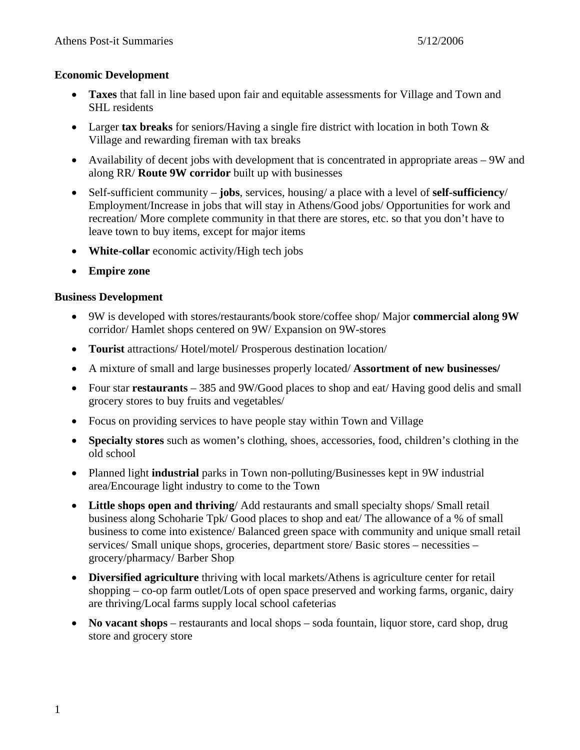#### **Economic Development**

- **Taxes** that fall in line based upon fair and equitable assessments for Village and Town and SHL residents
- Larger **tax breaks** for seniors/Having a single fire district with location in both Town & Village and rewarding fireman with tax breaks
- Availability of decent jobs with development that is concentrated in appropriate areas 9W and along RR/ **Route 9W corridor** built up with businesses
- Self-sufficient community **jobs**, services, housing/ a place with a level of **self-sufficiency**/ Employment/Increase in jobs that will stay in Athens/Good jobs/ Opportunities for work and recreation/ More complete community in that there are stores, etc. so that you don't have to leave town to buy items, except for major items
- **White-collar** economic activity/High tech jobs
- **Empire zone**

### **Business Development**

- 9W is developed with stores/restaurants/book store/coffee shop/ Major **commercial along 9W** corridor/ Hamlet shops centered on 9W/ Expansion on 9W-stores
- **Tourist** attractions/ Hotel/motel/ Prosperous destination location/
- A mixture of small and large businesses properly located/ **Assortment of new businesses/**
- Four star **restaurants** 385 and 9W/Good places to shop and eat/ Having good delis and small grocery stores to buy fruits and vegetables/
- Focus on providing services to have people stay within Town and Village
- **Specialty stores** such as women's clothing, shoes, accessories, food, children's clothing in the old school
- Planned light **industrial** parks in Town non-polluting/Businesses kept in 9W industrial area/Encourage light industry to come to the Town
- **Little shops open and thriving**/ Add restaurants and small specialty shops/ Small retail business along Schoharie Tpk/ Good places to shop and eat/ The allowance of a % of small business to come into existence/ Balanced green space with community and unique small retail services/ Small unique shops, groceries, department store/ Basic stores – necessities – grocery/pharmacy/ Barber Shop
- **Diversified agriculture** thriving with local markets/Athens is agriculture center for retail shopping – co-op farm outlet/Lots of open space preserved and working farms, organic, dairy are thriving/Local farms supply local school cafeterias
- **No vacant shops** restaurants and local shops soda fountain, liquor store, card shop, drug store and grocery store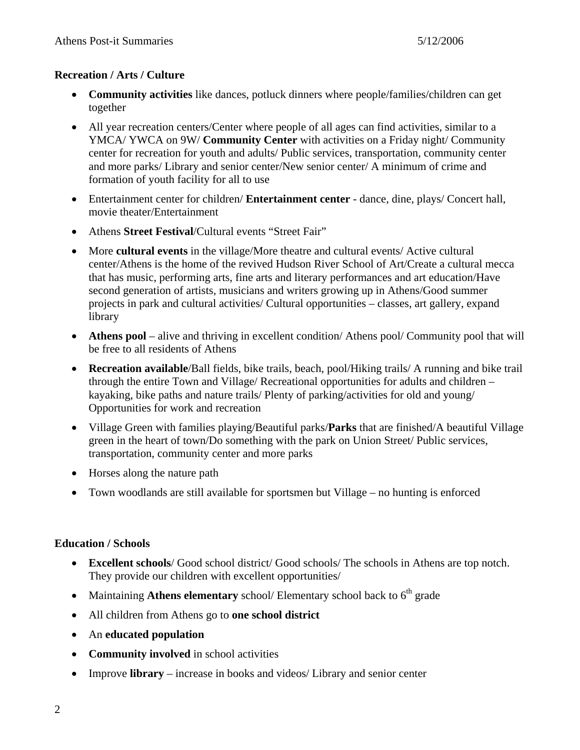## **Recreation / Arts / Culture**

- **Community activities** like dances, potluck dinners where people/families/children can get together
- All year recreation centers/Center where people of all ages can find activities, similar to a YMCA/ YWCA on 9W/ **Community Center** with activities on a Friday night/ Community center for recreation for youth and adults/ Public services, transportation, community center and more parks/ Library and senior center/New senior center/ A minimum of crime and formation of youth facility for all to use
- Entertainment center for children/ **Entertainment center** dance, dine, plays/ Concert hall, movie theater/Entertainment
- Athens **Street Festival**/Cultural events "Street Fair"
- More **cultural events** in the village/More theatre and cultural events/ Active cultural center/Athens is the home of the revived Hudson River School of Art/Create a cultural mecca that has music, performing arts, fine arts and literary performances and art education/Have second generation of artists, musicians and writers growing up in Athens/Good summer projects in park and cultural activities/ Cultural opportunities – classes, art gallery, expand library
- **Athens pool** alive and thriving in excellent condition/ Athens pool/ Community pool that will be free to all residents of Athens
- **Recreation available**/Ball fields, bike trails, beach, pool/Hiking trails/ A running and bike trail through the entire Town and Village/ Recreational opportunities for adults and children – kayaking, bike paths and nature trails/ Plenty of parking/activities for old and young/ Opportunities for work and recreation
- Village Green with families playing/Beautiful parks/**Parks** that are finished/A beautiful Village green in the heart of town/Do something with the park on Union Street/ Public services, transportation, community center and more parks
- Horses along the nature path
- Town woodlands are still available for sportsmen but Village no hunting is enforced

# **Education / Schools**

- **Excellent schools**/ Good school district/ Good schools/ The schools in Athens are top notch. They provide our children with excellent opportunities/
- Maintaining Athens **elementary** school/ Elementary school back to 6<sup>th</sup> grade
- All children from Athens go to **one school district**
- An **educated population**
- **Community involved** in school activities
- Improve **library** increase in books and videos/ Library and senior center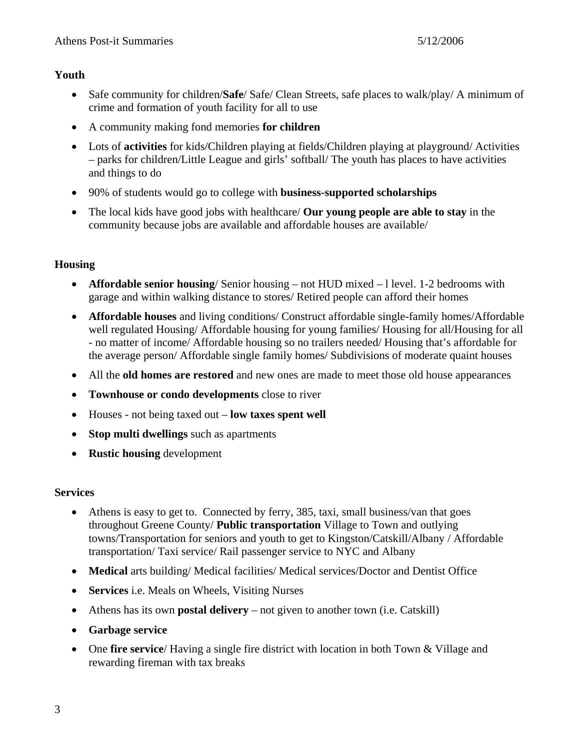### **Youth**

- Safe community for children/**Safe**/ Safe/ Clean Streets, safe places to walk/play/ A minimum of crime and formation of youth facility for all to use
- A community making fond memories **for children**
- Lots of **activities** for kids/Children playing at fields/Children playing at playground/ Activities – parks for children/Little League and girls' softball/ The youth has places to have activities and things to do
- 90% of students would go to college with **business-supported scholarships**
- The local kids have good jobs with healthcare/ **Our young people are able to stay** in the community because jobs are available and affordable houses are available/

# **Housing**

- **Affordable senior housing**/ Senior housing not HUD mixed l level. 1-2 bedrooms with garage and within walking distance to stores/ Retired people can afford their homes
- **Affordable houses** and living conditions/ Construct affordable single-family homes/Affordable well regulated Housing/ Affordable housing for young families/ Housing for all/Housing for all - no matter of income/ Affordable housing so no trailers needed/ Housing that's affordable for the average person/ Affordable single family homes/ Subdivisions of moderate quaint houses
- All the **old homes are restored** and new ones are made to meet those old house appearances
- **Townhouse or condo developments** close to river
- Houses not being taxed out **low taxes spent well**
- **Stop multi dwellings** such as apartments
- **Rustic housing** development

# **Services**

- Athens is easy to get to. Connected by ferry, 385, taxi, small business/van that goes throughout Greene County/ **Public transportation** Village to Town and outlying towns/Transportation for seniors and youth to get to Kingston/Catskill/Albany / Affordable transportation/ Taxi service/ Rail passenger service to NYC and Albany
- **Medical** arts building/ Medical facilities/ Medical services/Doctor and Dentist Office
- **Services** i.e. Meals on Wheels, Visiting Nurses
- Athens has its own **postal delivery** not given to another town (i.e. Catskill)
- **Garbage service**
- One **fire service**/ Having a single fire district with location in both Town & Village and rewarding fireman with tax breaks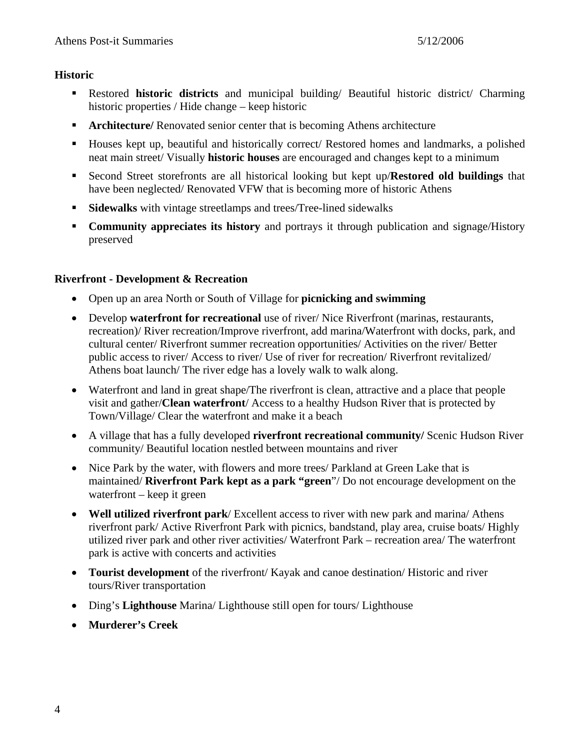#### **Historic**

- Restored **historic districts** and municipal building/ Beautiful historic district/ Charming historic properties / Hide change – keep historic
- **Architecture/** Renovated senior center that is becoming Athens architecture
- Houses kept up, beautiful and historically correct/ Restored homes and landmarks, a polished neat main street/ Visually **historic houses** are encouraged and changes kept to a minimum
- Second Street storefronts are all historical looking but kept up/**Restored old buildings** that have been neglected/ Renovated VFW that is becoming more of historic Athens
- **Sidewalks** with vintage streetlamps and trees/Tree-lined sidewalks
- **Community appreciates its history** and portrays it through publication and signage/History preserved

## **Riverfront - Development & Recreation**

- Open up an area North or South of Village for **picnicking and swimming**
- Develop **waterfront for recreational** use of river/ Nice Riverfront (marinas, restaurants, recreation)/ River recreation/Improve riverfront, add marina/Waterfront with docks, park, and cultural center/ Riverfront summer recreation opportunities/ Activities on the river/ Better public access to river/ Access to river/ Use of river for recreation/ Riverfront revitalized/ Athens boat launch/ The river edge has a lovely walk to walk along.
- Waterfront and land in great shape/The riverfront is clean, attractive and a place that people visit and gather/**Clean waterfront**/ Access to a healthy Hudson River that is protected by Town/Village/ Clear the waterfront and make it a beach
- A village that has a fully developed **riverfront recreational community** Scenic Hudson River community/ Beautiful location nestled between mountains and river
- Nice Park by the water, with flowers and more trees/ Parkland at Green Lake that is maintained/ **Riverfront Park kept as a park "green**"/ Do not encourage development on the waterfront – keep it green
- **Well utilized riverfront park**/ Excellent access to river with new park and marina/ Athens riverfront park/ Active Riverfront Park with picnics, bandstand, play area, cruise boats/ Highly utilized river park and other river activities/ Waterfront Park – recreation area/ The waterfront park is active with concerts and activities
- **Tourist development** of the riverfront/ Kayak and canoe destination/ Historic and river tours/River transportation
- Ding's **Lighthouse** Marina/ Lighthouse still open for tours/ Lighthouse
- **Murderer's Creek**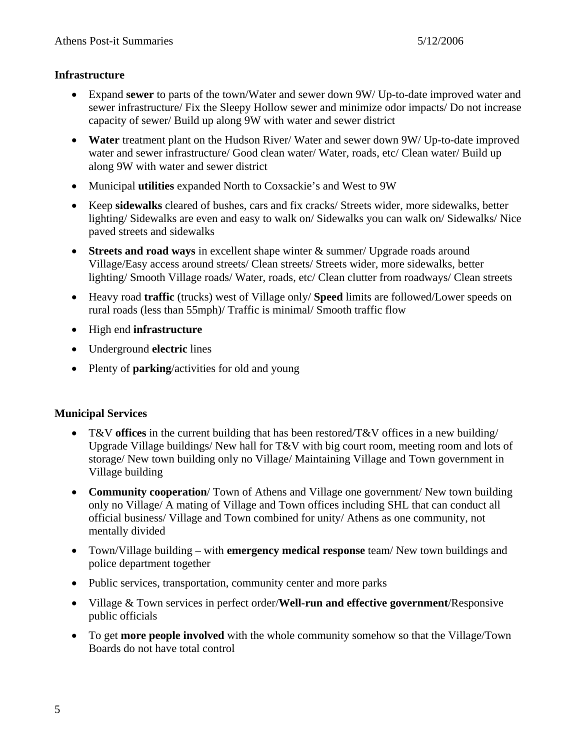### **Infrastructure**

- Expand **sewer** to parts of the town/Water and sewer down 9W/ Up-to-date improved water and sewer infrastructure/ Fix the Sleepy Hollow sewer and minimize odor impacts/ Do not increase capacity of sewer/ Build up along 9W with water and sewer district
- **Water** treatment plant on the Hudson River/ Water and sewer down 9W/ Up-to-date improved water and sewer infrastructure/ Good clean water/ Water, roads, etc/ Clean water/ Build up along 9W with water and sewer district
- Municipal **utilities** expanded North to Coxsackie's and West to 9W
- Keep **sidewalks** cleared of bushes, cars and fix cracks/ Streets wider, more sidewalks, better lighting/ Sidewalks are even and easy to walk on/ Sidewalks you can walk on/ Sidewalks/ Nice paved streets and sidewalks
- **Streets and road ways** in excellent shape winter & summer/ Upgrade roads around Village/Easy access around streets/ Clean streets/ Streets wider, more sidewalks, better lighting/ Smooth Village roads/ Water, roads, etc/ Clean clutter from roadways/ Clean streets
- Heavy road **traffic** (trucks) west of Village only/ **Speed** limits are followed/Lower speeds on rural roads (less than 55mph)/ Traffic is minimal/ Smooth traffic flow
- High end **infrastructure**
- Underground **electric** lines
- Plenty of **parking**/activities for old and young

### **Municipal Services**

- T&V **offices** in the current building that has been restored/T&V offices in a new building/ Upgrade Village buildings/ New hall for T&V with big court room, meeting room and lots of storage/ New town building only no Village/ Maintaining Village and Town government in Village building
- **Community cooperation**/ Town of Athens and Village one government/ New town building only no Village/ A mating of Village and Town offices including SHL that can conduct all official business/ Village and Town combined for unity/ Athens as one community, not mentally divided
- Town/Village building with **emergency medical response** team/ New town buildings and police department together
- Public services, transportation, community center and more parks
- Village & Town services in perfect order/**Well-run and effective government**/Responsive public officials
- To get **more people involved** with the whole community somehow so that the Village/Town Boards do not have total control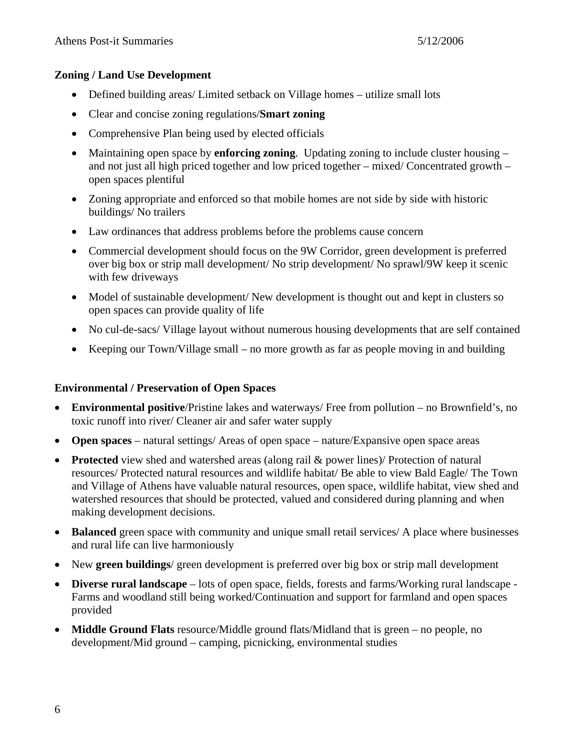#### **Zoning / Land Use Development**

- Defined building areas/ Limited setback on Village homes utilize small lots
- Clear and concise zoning regulations/**Smart zoning**
- Comprehensive Plan being used by elected officials
- Maintaining open space by **enforcing zoning**. Updating zoning to include cluster housing and not just all high priced together and low priced together – mixed/ Concentrated growth – open spaces plentiful
- Zoning appropriate and enforced so that mobile homes are not side by side with historic buildings/ No trailers
- Law ordinances that address problems before the problems cause concern
- Commercial development should focus on the 9W Corridor, green development is preferred over big box or strip mall development/ No strip development/ No sprawl/9W keep it scenic with few driveways
- Model of sustainable development/ New development is thought out and kept in clusters so open spaces can provide quality of life
- No cul-de-sacs/ Village layout without numerous housing developments that are self contained
- Keeping our Town/Village small no more growth as far as people moving in and building

### **Environmental / Preservation of Open Spaces**

- **Environmental positive**/Pristine lakes and waterways/ Free from pollution no Brownfield's, no toxic runoff into river/ Cleaner air and safer water supply
- **Open spaces** natural settings/ Areas of open space nature/Expansive open space areas
- **Protected** view shed and watershed areas (along rail & power lines) Protection of natural resources/ Protected natural resources and wildlife habitat/ Be able to view Bald Eagle/ The Town and Village of Athens have valuable natural resources, open space, wildlife habitat, view shed and watershed resources that should be protected, valued and considered during planning and when making development decisions.
- **Balanced** green space with community and unique small retail services/ A place where businesses and rural life can live harmoniously
- New **green buildings**/ green development is preferred over big box or strip mall development
- **Diverse rural landscape** lots of open space, fields, forests and farms/Working rural landscape Farms and woodland still being worked/Continuation and support for farmland and open spaces provided
- **Middle Ground Flats** resource/Middle ground flats/Midland that is green no people, no development/Mid ground – camping, picnicking, environmental studies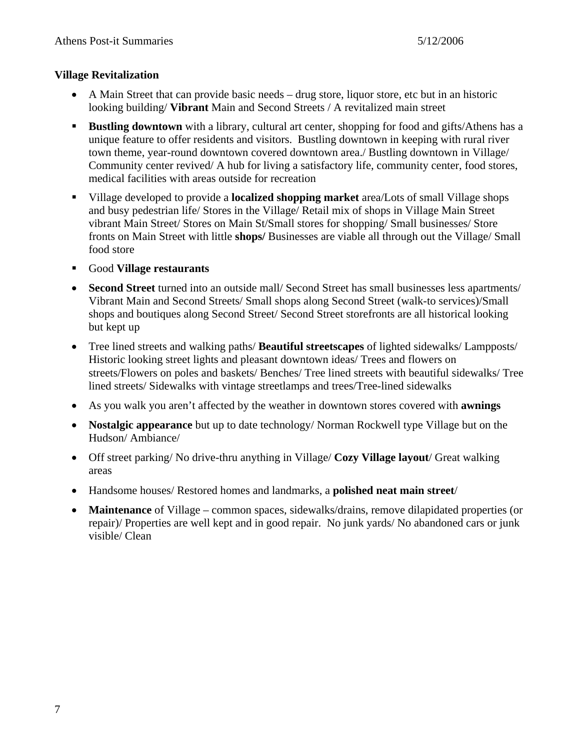### **Village Revitalization**

- A Main Street that can provide basic needs drug store, liquor store, etc but in an historic looking building/ **Vibrant** Main and Second Streets / A revitalized main street
- **Bustling downtown** with a library, cultural art center, shopping for food and gifts/Athens has a unique feature to offer residents and visitors. Bustling downtown in keeping with rural river town theme, year-round downtown covered downtown area./ Bustling downtown in Village/ Community center revived/ A hub for living a satisfactory life, community center, food stores, medical facilities with areas outside for recreation
- Village developed to provide a **localized shopping market** area/Lots of small Village shops and busy pedestrian life/ Stores in the Village/ Retail mix of shops in Village Main Street vibrant Main Street/ Stores on Main St/Small stores for shopping/ Small businesses/ Store fronts on Main Street with little **shops/** Businesses are viable all through out the Village/ Small food store
- Good **Village restaurants**
- **Second Street** turned into an outside mall/ Second Street has small businesses less apartments/ Vibrant Main and Second Streets/ Small shops along Second Street (walk-to services)/Small shops and boutiques along Second Street/ Second Street storefronts are all historical looking but kept up
- Tree lined streets and walking paths/ **Beautiful streetscapes** of lighted sidewalks/ Lampposts/ Historic looking street lights and pleasant downtown ideas/ Trees and flowers on streets/Flowers on poles and baskets/ Benches/ Tree lined streets with beautiful sidewalks/ Tree lined streets/ Sidewalks with vintage streetlamps and trees/Tree-lined sidewalks
- As you walk you aren't affected by the weather in downtown stores covered with **awnings**
- **Nostalgic appearance** but up to date technology/ Norman Rockwell type Village but on the Hudson/ Ambiance/
- Off street parking/ No drive-thru anything in Village/ **Cozy Village layout**/ Great walking areas
- Handsome houses/ Restored homes and landmarks, a **polished neat main street**/
- **Maintenance** of Village common spaces, sidewalks/drains, remove dilapidated properties (or repair)/ Properties are well kept and in good repair. No junk yards/ No abandoned cars or junk visible/ Clean